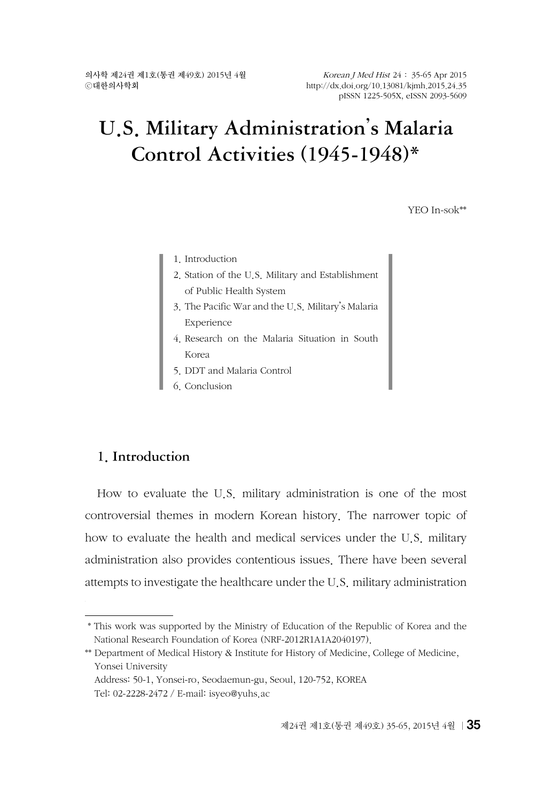# U.S. Military Administration's Malaria Control Activities (1945-1948)\*

YEO In-sok\*\*

- 1. Introduction
- 2. Station of the U.S. Military and Establishment of Public Health System
- 3. The Pacific War and the U.S. Military's Malaria Experience
- 4. Research on the Malaria Situation in South Korea
- 5. DDT and Malaria Control
- 6. Conclusion

## 1. Introduction

How to evaluate the U.S. military administration is one of the most controversial themes in modern Korean history. The narrower topic of how to evaluate the health and medical services under the U.S. military administration also provides contentious issues. There have been several attempts to investigate the healthcare under the U.S. military administration

 <sup>\*</sup> This work was supported by the Ministry of Education of the Republic of Korea and the National Research Foundation of Korea (NRF-2012R1A1A2040197).

<sup>\*\*</sup> Department of Medical History & Institute for History of Medicine, College of Medicine, Yonsei University

Address: 50-1, Yonsei-ro, Seodaemun-gu, Seoul, 120-752, KOREA Tel: 02-2228-2472 / E-mail: isye[o@yuhs.ac](mailto:jerryq@yuhs.ac)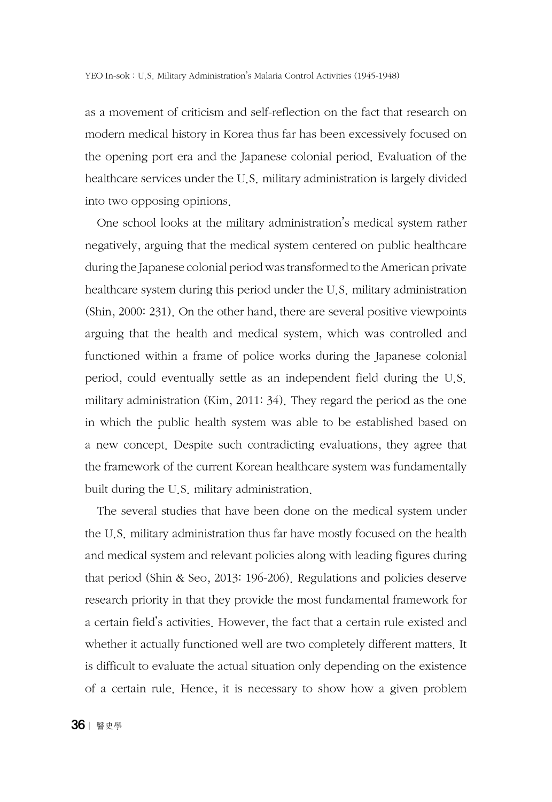as a movement of criticism and self-reflection on the fact that research on modern medical history in Korea thus far has been excessively focused on the opening port era and the Japanese colonial period. Evaluation of the healthcare services under the U.S. military administration is largely divided into two opposing opinions.

One school looks at the military administration's medical system rather negatively, arguing that the medical system centered on public healthcare during the Japanese colonial period was transformed to the American private healthcare system during this period under the U.S. military administration (Shin, 2000: 231). On the other hand, there are several positive viewpoints arguing that the health and medical system, which was controlled and functioned within a frame of police works during the Japanese colonial period, could eventually settle as an independent field during the U.S. military administration (Kim, 2011: 34). They regard the period as the one in which the public health system was able to be established based on a new concept. Despite such contradicting evaluations, they agree that the framework of the current Korean healthcare system was fundamentally built during the U.S. military administration.

The several studies that have been done on the medical system under the U.S. military administration thus far have mostly focused on the health and medical system and relevant policies along with leading figures during that period (Shin & Seo, 2013: 196-206). Regulations and policies deserve research priority in that they provide the most fundamental framework for a certain field's activities. However, the fact that a certain rule existed and whether it actually functioned well are two completely different matters. It is difficult to evaluate the actual situation only depending on the existence of a certain rule. Hence, it is necessary to show how a given problem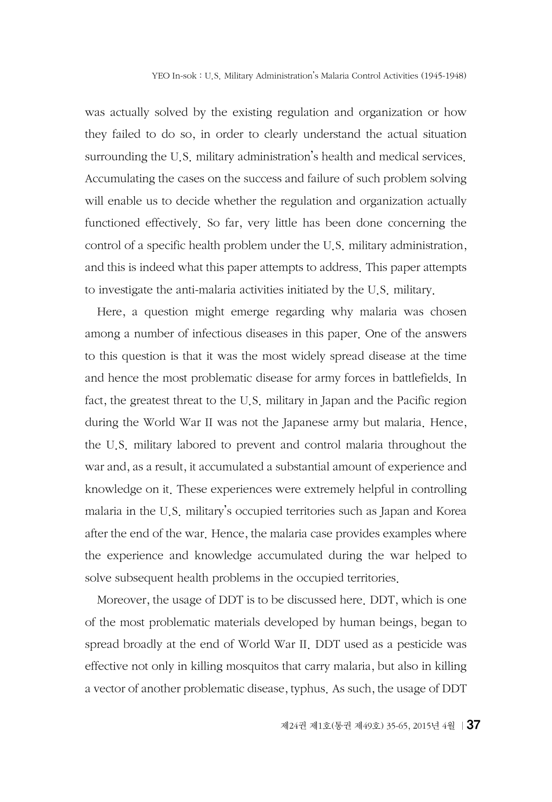was actually solved by the existing regulation and organization or how they failed to do so, in order to clearly understand the actual situation surrounding the U.S. military administration's health and medical services. Accumulating the cases on the success and failure of such problem solving will enable us to decide whether the regulation and organization actually functioned effectively. So far, very little has been done concerning the control of a specific health problem under the U.S. military administration, and this is indeed what this paper attempts to address. This paper attempts to investigate the anti-malaria activities initiated by the U.S. military.

Here, a question might emerge regarding why malaria was chosen among a number of infectious diseases in this paper. One of the answers to this question is that it was the most widely spread disease at the time and hence the most problematic disease for army forces in battlefields. In fact, the greatest threat to the U.S. military in Japan and the Pacific region during the World War II was not the Japanese army but malaria. Hence, the U.S. military labored to prevent and control malaria throughout the war and, as a result, it accumulated a substantial amount of experience and knowledge on it. These experiences were extremely helpful in controlling malaria in the U.S. military's occupied territories such as Japan and Korea after the end of the war. Hence, the malaria case provides examples where the experience and knowledge accumulated during the war helped to solve subsequent health problems in the occupied territories.

Moreover, the usage of DDT is to be discussed here. DDT, which is one of the most problematic materials developed by human beings, began to spread broadly at the end of World War II. DDT used as a pesticide was effective not only in killing mosquitos that carry malaria, but also in killing a vector of another problematic disease, typhus. As such, the usage of DDT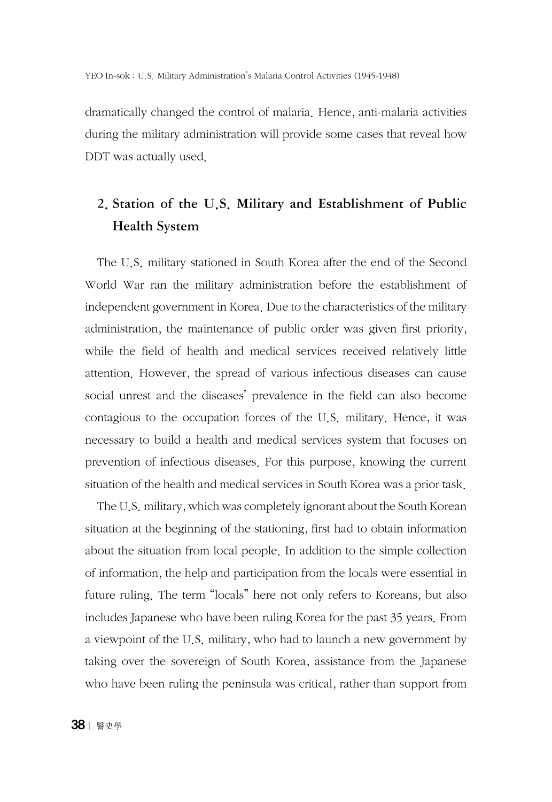dramatically changed the control of malaria. Hence, anti-malaria activities during the military administration will provide some cases that reveal how DDT was actually used.

# 2. Station of the U.S. Military and Establishment of Public Health System

The U.S. military stationed in South Korea after the end of the Second World War ran the military administration before the establishment of independent government in Korea. Due to the characteristics of the military administration, the maintenance of public order was given first priority, while the field of health and medical services received relatively little attention. However, the spread of various infectious diseases can cause social unrest and the diseases' prevalence in the field can also become contagious to the occupation forces of the U.S. military. Hence, it was necessary to build a health and medical services system that focuses on prevention of infectious diseases. For this purpose, knowing the current situation of the health and medical services in South Korea was a prior task.

The U.S. military, which was completely ignorant about the South Korean situation at the beginning of the stationing, first had to obtain information about the situation from local people. In addition to the simple collection of information, the help and participation from the locals were essential in future ruling. The term "locals" here not only refers to Koreans, but also includes Japanese who have been ruling Korea for the past 35 years. From a viewpoint of the U.S. military, who had to launch a new government by taking over the sovereign of South Korea, assistance from the Japanese who have been ruling the peninsula was critical, rather than support from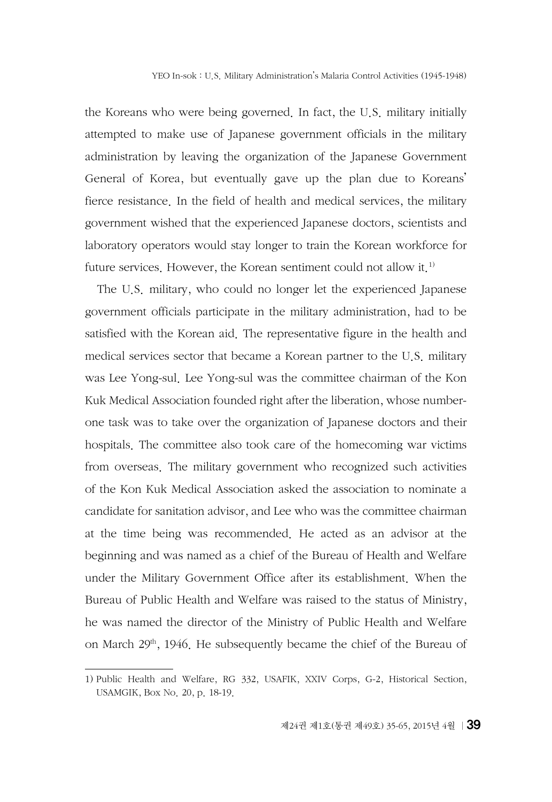the Koreans who were being governed. In fact, the U.S. military initially attempted to make use of Japanese government officials in the military administration by leaving the organization of the Japanese Government General of Korea, but eventually gave up the plan due to Koreans' fierce resistance. In the field of health and medical services, the military government wished that the experienced Japanese doctors, scientists and laboratory operators would stay longer to train the Korean workforce for future services. However, the Korean sentiment could not allow it.<sup>1)</sup>

The U.S. military, who could no longer let the experienced Japanese government officials participate in the military administration, had to be satisfied with the Korean aid. The representative figure in the health and medical services sector that became a Korean partner to the U.S. military was Lee Yong-sul. Lee Yong-sul was the committee chairman of the Kon Kuk Medical Association founded right after the liberation, whose numberone task was to take over the organization of Japanese doctors and their hospitals. The committee also took care of the homecoming war victims from overseas. The military government who recognized such activities of the Kon Kuk Medical Association asked the association to nominate a candidate for sanitation advisor, and Lee who was the committee chairman at the time being was recommended. He acted as an advisor at the beginning and was named as a chief of the Bureau of Health and Welfare under the Military Government Office after its establishment. When the Bureau of Public Health and Welfare was raised to the status of Ministry, he was named the director of the Ministry of Public Health and Welfare on March 29<sup>th</sup>, 1946. He subsequently became the chief of the Bureau of

<sup>1)</sup> Public Health and Welfare, RG 332, USAFIK, XXIV Corps, G-2, Historical Section, USAMGIK, Box No. 20, p. 18-19.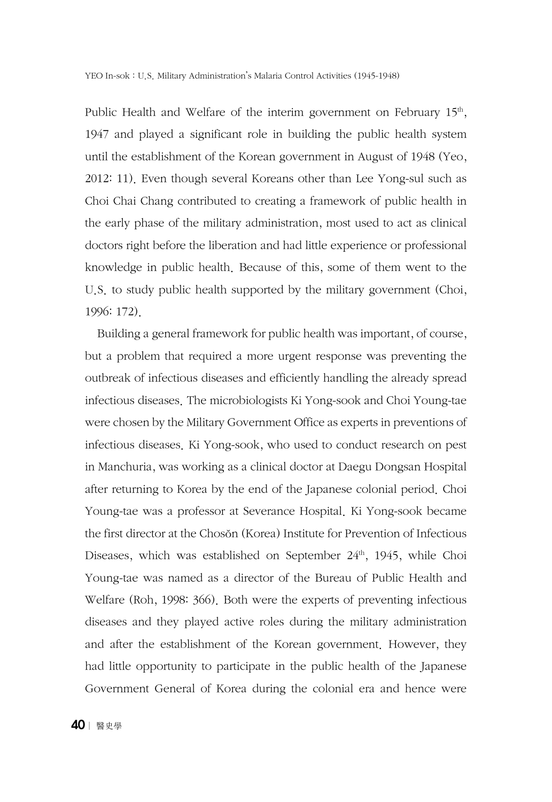Public Health and Welfare of the interim government on February  $15<sup>th</sup>$ , 1947 and played a significant role in building the public health system until the establishment of the Korean government in August of 1948 (Yeo, 2012: 11). Even though several Koreans other than Lee Yong-sul such as Choi Chai Chang contributed to creating a framework of public health in the early phase of the military administration, most used to act as clinical doctors right before the liberation and had little experience or professional knowledge in public health. Because of this, some of them went to the U.S. to study public health supported by the military government (Choi, 1996: 172).

Building a general framework for public health was important, of course, but a problem that required a more urgent response was preventing the outbreak of infectious diseases and efficiently handling the already spread infectious diseases. The microbiologists Ki Yong-sook and Choi Young-tae were chosen by the Military Government Office as experts in preventions of infectious diseases. Ki Yong-sook, who used to conduct research on pest in Manchuria, was working as a clinical doctor at Daegu Dongsan Hospital after returning to Korea by the end of the Japanese colonial period. Choi Young-tae was a professor at Severance Hospital. Ki Yong-sook became the first director at the Chosŏn (Korea) Institute for Prevention of Infectious Diseases, which was established on September 24<sup>th</sup>, 1945, while Choi Young-tae was named as a director of the Bureau of Public Health and Welfare (Roh, 1998: 366). Both were the experts of preventing infectious diseases and they played active roles during the military administration and after the establishment of the Korean government. However, they had little opportunity to participate in the public health of the Japanese Government General of Korea during the colonial era and hence were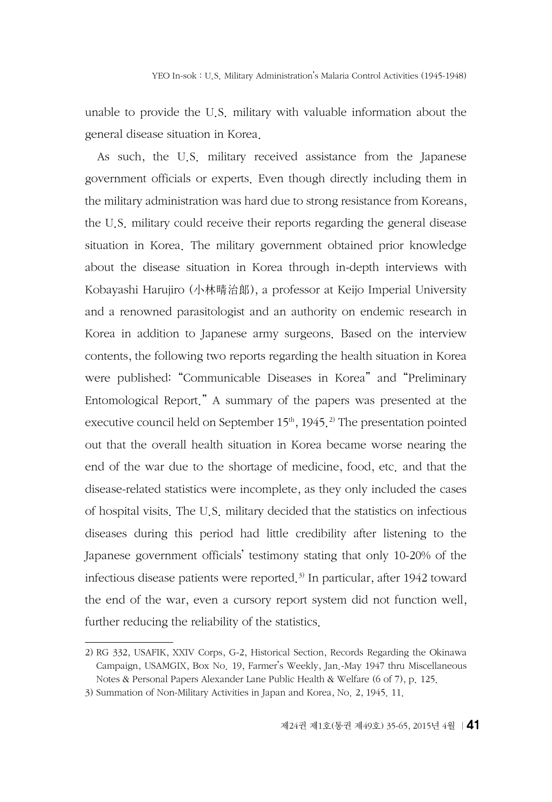unable to provide the U.S. military with valuable information about the general disease situation in Korea.

As such, the U.S. military received assistance from the Japanese government officials or experts. Even though directly including them in the military administration was hard due to strong resistance from Koreans, the U.S. military could receive their reports regarding the general disease situation in Korea. The military government obtained prior knowledge about the disease situation in Korea through in-depth interviews with Kobayashi Harujiro (小林晴治郞), a professor at Keijo Imperial University and a renowned parasitologist and an authority on endemic research in Korea in addition to Japanese army surgeons. Based on the interview contents, the following two reports regarding the health situation in Korea were published: "Communicable Diseases in Korea" and "Preliminary Entomological Report." A summary of the papers was presented at the executive council held on September  $15<sup>th</sup>$ ,  $1945<sup>2</sup>$ . The presentation pointed out that the overall health situation in Korea became worse nearing the end of the war due to the shortage of medicine, food, etc. and that the disease-related statistics were incomplete, as they only included the cases of hospital visits. The U.S. military decided that the statistics on infectious diseases during this period had little credibility after listening to the Japanese government officials' testimony stating that only 10-20% of the infectious disease patients were reported.3) In particular, after 1942 toward the end of the war, even a cursory report system did not function well, further reducing the reliability of the statistics.

<sup>2)</sup> RG 332, USAFIK, XXIV Corps, G-2, Historical Section, Records Regarding the Okinawa Campaign, USAMGIX, Box No. 19, Farmer's Weekly, Jan.-May 1947 thru Miscellaneous Notes & Personal Papers Alexander Lane Public Health & Welfare (6 of 7), p. 125.

<sup>3)</sup> Summation of Non-Military Activities in Japan and Korea, No. 2, 1945. 11.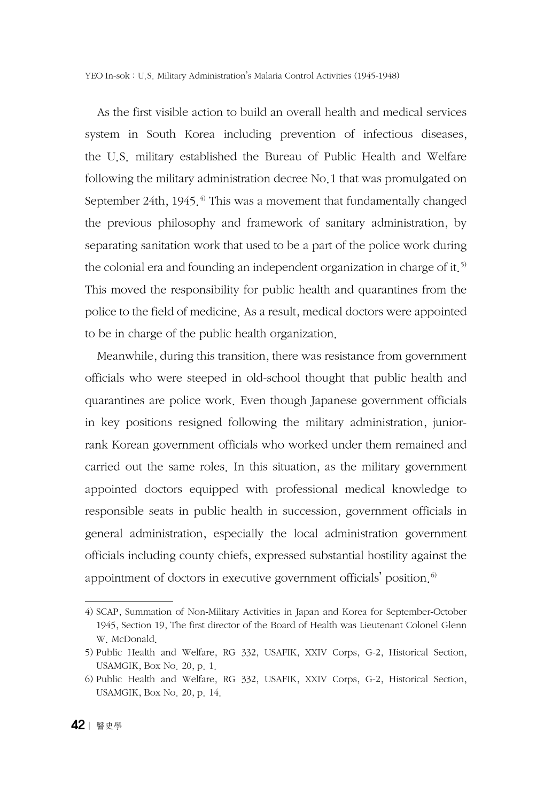YEO In-sok : U.S. Military Administration's Malaria Control Activities (1945-1948)

As the first visible action to build an overall health and medical services system in South Korea including prevention of infectious diseases, the U.S. military established the Bureau of Public Health and Welfare following the military administration decree No.1 that was promulgated on September 24th, 1945. $4$ <sup>0</sup> This was a movement that fundamentally changed the previous philosophy and framework of sanitary administration, by separating sanitation work that used to be a part of the police work during the colonial era and founding an independent organization in charge of it.<sup>5)</sup> This moved the responsibility for public health and quarantines from the police to the field of medicine. As a result, medical doctors were appointed to be in charge of the public health organization.

Meanwhile, during this transition, there was resistance from government officials who were steeped in old-school thought that public health and quarantines are police work. Even though Japanese government officials in key positions resigned following the military administration, juniorrank Korean government officials who worked under them remained and carried out the same roles. In this situation, as the military government appointed doctors equipped with professional medical knowledge to responsible seats in public health in succession, government officials in general administration, especially the local administration government officials including county chiefs, expressed substantial hostility against the appointment of doctors in executive government officials' position. $6$ 

<sup>4)</sup> SCAP, Summation of Non-Military Activities in Japan and Korea for September-October 1945, Section 19, The first director of the Board of Health was Lieutenant Colonel Glenn W. McDonald.

<sup>5)</sup> Public Health and Welfare, RG 332, USAFIK, XXIV Corps, G-2, Historical Section, USAMGIK, Box No. 20, p. 1.

<sup>6)</sup> Public Health and Welfare, RG 332, USAFIK, XXIV Corps, G-2, Historical Section, USAMGIK, Box No. 20, p. 14.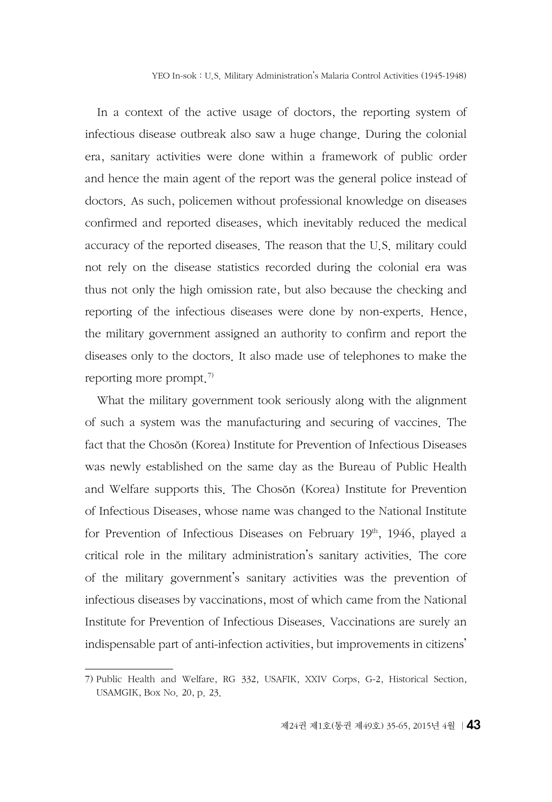In a context of the active usage of doctors, the reporting system of infectious disease outbreak also saw a huge change. During the colonial era, sanitary activities were done within a framework of public order and hence the main agent of the report was the general police instead of doctors. As such, policemen without professional knowledge on diseases confirmed and reported diseases, which inevitably reduced the medical accuracy of the reported diseases. The reason that the U.S. military could not rely on the disease statistics recorded during the colonial era was thus not only the high omission rate, but also because the checking and reporting of the infectious diseases were done by non-experts. Hence, the military government assigned an authority to confirm and report the diseases only to the doctors. It also made use of telephones to make the reporting more prompt.<sup>7)</sup>

What the military government took seriously along with the alignment of such a system was the manufacturing and securing of vaccines. The fact that the Chosŏn (Korea) Institute for Prevention of Infectious Diseases was newly established on the same day as the Bureau of Public Health and Welfare supports this. The Chosŏn (Korea) Institute for Prevention of Infectious Diseases, whose name was changed to the National Institute for Prevention of Infectious Diseases on February  $19<sup>th</sup>$ ,  $1946$ , played a critical role in the military administration's sanitary activities. The core of the military government's sanitary activities was the prevention of infectious diseases by vaccinations, most of which came from the National Institute for Prevention of Infectious Diseases. Vaccinations are surely an indispensable part of anti-infection activities, but improvements in citizens'

<sup>7)</sup> Public Health and Welfare, RG 332, USAFIK, XXIV Corps, G-2, Historical Section, USAMGIK, Box No. 20, p. 23.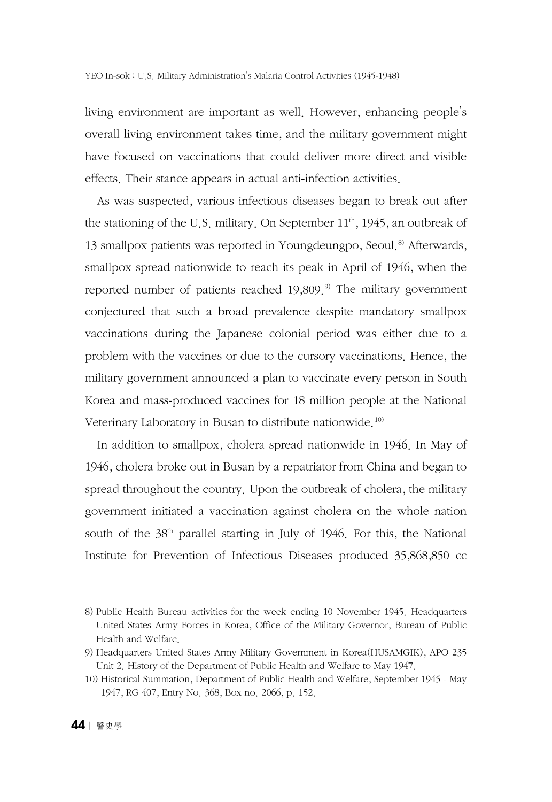living environment are important as well. However, enhancing people's overall living environment takes time, and the military government might have focused on vaccinations that could deliver more direct and visible effects. Their stance appears in actual anti-infection activities.

As was suspected, various infectious diseases began to break out after the stationing of the U.S. military. On September  $11<sup>th</sup>$ , 1945, an outbreak of 13 smallpox patients was reported in Youngdeungpo, Seoul.<sup>8)</sup> Afterwards, smallpox spread nationwide to reach its peak in April of 1946, when the reported number of patients reached  $19,809$ .<sup>9)</sup> The military government conjectured that such a broad prevalence despite mandatory smallpox vaccinations during the Japanese colonial period was either due to a problem with the vaccines or due to the cursory vaccinations. Hence, the military government announced a plan to vaccinate every person in South Korea and mass-produced vaccines for 18 million people at the National Veterinary Laboratory in Busan to distribute nationwide.10)

In addition to smallpox, cholera spread nationwide in 1946. In May of 1946, cholera broke out in Busan by a repatriator from China and began to spread throughout the country. Upon the outbreak of cholera, the military government initiated a vaccination against cholera on the whole nation south of the 38<sup>th</sup> parallel starting in July of 1946. For this, the National Institute for Prevention of Infectious Diseases produced 35,868,850 cc

<sup>8)</sup> Public Health Bureau activities for the week ending 10 November 1945. Headquarters United States Army Forces in Korea, Office of the Military Governor, Bureau of Public Health and Welfare.

<sup>9)</sup> Headquarters United States Army Military Government in Korea(HUSAMGIK), APO 235 Unit 2. History of the Department of Public Health and Welfare to May 1947.

<sup>10)</sup> Historical Summation, Department of Public Health and Welfare, September 1945 - May 1947, RG 407, Entry No. 368, Box no. 2066, p. 152.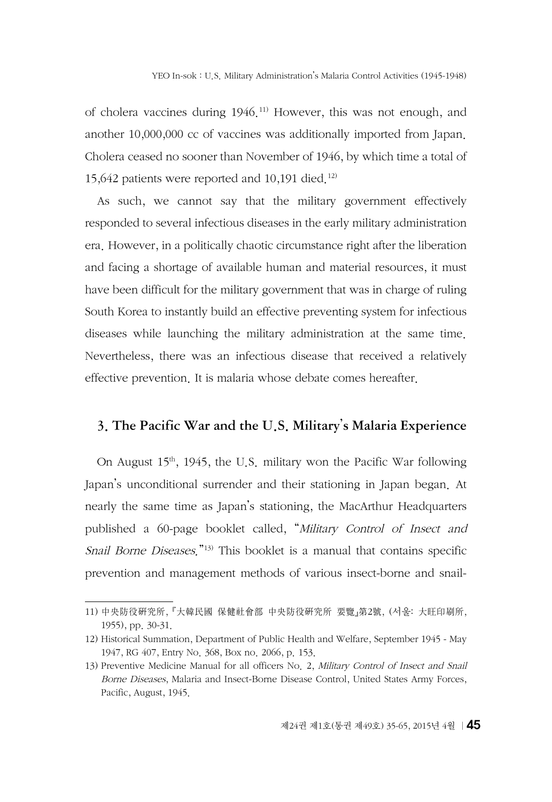of cholera vaccines during 1946.11) However, this was not enough, and another 10,000,000 cc of vaccines was additionally imported from Japan. Cholera ceased no sooner than November of 1946, by which time a total of 15,642 patients were reported and 10,191 died.<sup>12)</sup>

As such, we cannot say that the military government effectively responded to several infectious diseases in the early military administration era. However, in a politically chaotic circumstance right after the liberation and facing a shortage of available human and material resources, it must have been difficult for the military government that was in charge of ruling South Korea to instantly build an effective preventing system for infectious diseases while launching the military administration at the same time. Nevertheless, there was an infectious disease that received a relatively effective prevention. It is malaria whose debate comes hereafter.

### 3. The Pacific War and the U.S. Military's Malaria Experience

On August  $15<sup>th</sup>$ , 1945, the U.S. military won the Pacific War following Japan's unconditional surrender and their stationing in Japan began. At nearly the same time as Japan's stationing, the MacArthur Headquarters published a 60-page booklet called, "Military Control of Insect and Snail Borne Diseases."13) This booklet is a manual that contains specific prevention and management methods of various insect-borne and snail-

<sup>11)</sup> 中央防役硏究所, 『大韓民國 保健社會部 中央防役硏究所 要覽』第2號, (서울: 大旺印刷所, 1955), pp. 30-31.

<sup>12)</sup> Historical Summation, Department of Public Health and Welfare, September 1945 - May 1947, RG 407, Entry No. 368, Box no. 2066, p. 153.

<sup>13)</sup> Preventive Medicine Manual for all officers No. 2, Military Control of Insect and Snail Borne Diseases, Malaria and Insect-Borne Disease Control, United States Army Forces, Pacific, August, 1945.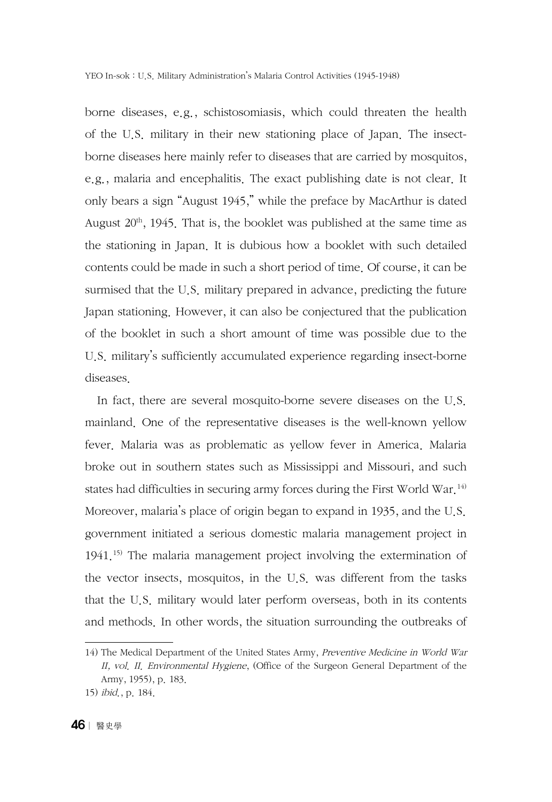borne diseases, e.g., schistosomiasis, which could threaten the health of the U.S. military in their new stationing place of Japan. The insectborne diseases here mainly refer to diseases that are carried by mosquitos, e.g., malaria and encephalitis. The exact publishing date is not clear. It only bears a sign "August 1945," while the preface by MacArthur is dated August  $20<sup>th</sup>$ , 1945. That is, the booklet was published at the same time as the stationing in Japan. It is dubious how a booklet with such detailed contents could be made in such a short period of time. Of course, it can be surmised that the U.S. military prepared in advance, predicting the future Japan stationing. However, it can also be conjectured that the publication of the booklet in such a short amount of time was possible due to the U.S. military's sufficiently accumulated experience regarding insect-borne diseases.

In fact, there are several mosquito-borne severe diseases on the U.S. mainland. One of the representative diseases is the well-known yellow fever. Malaria was as problematic as yellow fever in America. Malaria broke out in southern states such as Mississippi and Missouri, and such states had difficulties in securing army forces during the First World War.<sup>14)</sup> Moreover, malaria's place of origin began to expand in 1935, and the U.S. government initiated a serious domestic malaria management project in 1941.<sup>15)</sup> The malaria management project involving the extermination of the vector insects, mosquitos, in the U.S. was different from the tasks that the U.S. military would later perform overseas, both in its contents and methods. In other words, the situation surrounding the outbreaks of

<sup>14)</sup> The Medical Department of the United States Army, Preventive Medicine in World War II, vol. II. Environmental Hygiene, (Office of the Surgeon General Department of the Army, 1955), p. 183.

<sup>15)</sup> ibid., p. 184.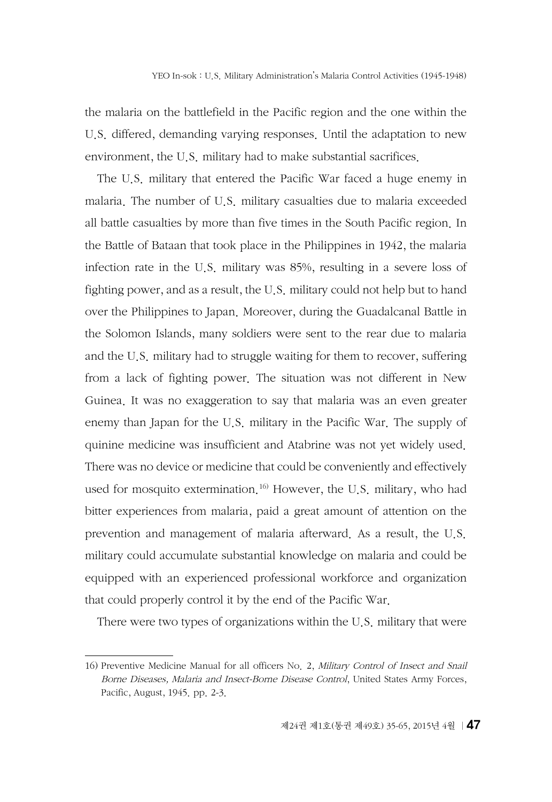the malaria on the battlefield in the Pacific region and the one within the U.S. differed, demanding varying responses. Until the adaptation to new environment, the U.S. military had to make substantial sacrifices.

The U.S. military that entered the Pacific War faced a huge enemy in malaria. The number of U.S. military casualties due to malaria exceeded all battle casualties by more than five times in the South Pacific region. In the Battle of Bataan that took place in the Philippines in 1942, the malaria infection rate in the U.S. military was 85%, resulting in a severe loss of fighting power, and as a result, the U.S. military could not help but to hand over the Philippines to Japan. Moreover, during the [Guadalcanal](http://endic.naver.com/enkrEntry.nhn?entryId=cac68e68034a4f7eb1af04e74a69a556&query=%EA%B3%BC%EB%8B%AC%EC%B9%B4%EB%82%A0) Battle in the Solomon Islands, many soldiers were sent to the rear due to malaria and the U.S. military had to struggle waiting for them to recover, suffering from a lack of fighting power. The situation was not different in New Guinea. It was no exaggeration to say that malaria was an even greater enemy than Japan for the U.S. military in the Pacific War. The supply of quinine medicine was insufficient and Atabrine was not yet widely used. There was no device or medicine that could be conveniently and effectively used for mosquito extermination.<sup>16)</sup> However, the U.S. military, who had bitter experiences from malaria, paid a great amount of attention on the prevention and management of malaria afterward. As a result, the U.S. military could accumulate substantial knowledge on malaria and could be equipped with an experienced professional workforce and organization that could properly control it by the end of the Pacific War.

There were two types of organizations within the U.S. military that were

<sup>16)</sup> Preventive Medicine Manual for all officers No. 2, Military Control of Insect and Snail Borne Diseases, Malaria and Insect-Borne Disease Control, United States Army Forces, Pacific, August, 1945. pp. 2-3.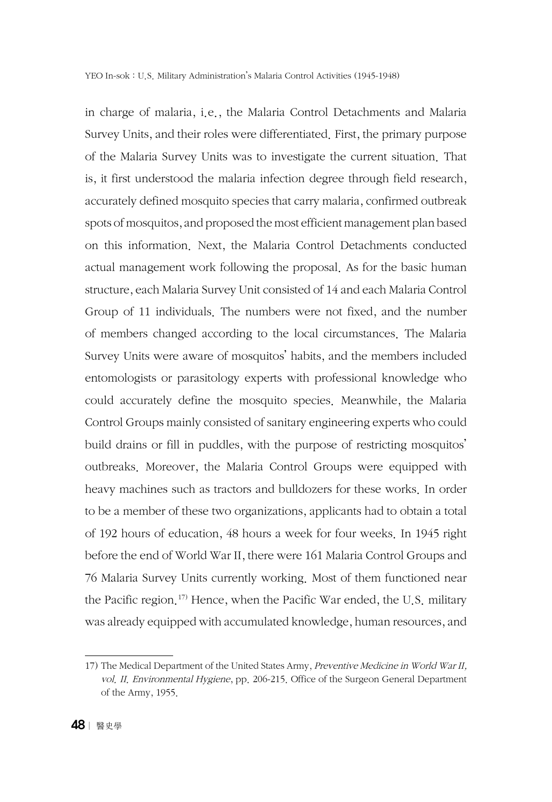in charge of malaria, i.e., the Malaria Control Detachments and Malaria Survey Units, and their roles were differentiated. First, the primary purpose of the Malaria Survey Units was to investigate the current situation. That is, it first understood the malaria infection degree through field research, accurately defined mosquito species that carry malaria, confirmed outbreak spots of mosquitos, and proposed the most efficient management plan based on this information. Next, the Malaria Control Detachments conducted actual management work following the proposal. As for the basic human structure, each Malaria Survey Unit consisted of 14 and each Malaria Control Group of 11 individuals. The numbers were not fixed, and the number of members changed according to the local circumstances. The Malaria Survey Units were aware of mosquitos' habits, and the members included entomologists or parasitology experts with professional knowledge who could accurately define the mosquito species. Meanwhile, the Malaria Control Groups mainly consisted of sanitary engineering experts who could build drains or fill in puddles, with the purpose of restricting mosquitos' outbreaks. Moreover, the Malaria Control Groups were equipped with heavy machines such as tractors and bulldozers for these works. In order to be a member of these two organizations, applicants had to obtain a total of 192 hours of education, 48 hours a week for four weeks. In 1945 right before the end of World War II, there were 161 Malaria Control Groups and 76 Malaria Survey Units currently working. Most of them functioned near the Pacific region.<sup>17)</sup> Hence, when the Pacific War ended, the U.S. military was already equipped with accumulated knowledge, human resources, and

<sup>17)</sup> The Medical Department of the United States Army, Preventive Medicine in World War II, vol. II. Environmental Hygiene, pp. 206-215. Office of the Surgeon General Department of the Army, 1955.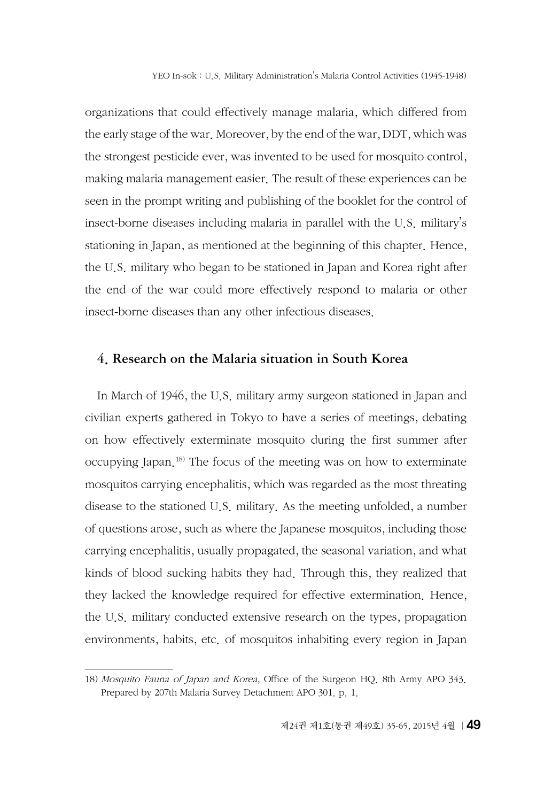organizations that could effectively manage malaria, which differed from the early stage of the war. Moreover, by the end of the war, DDT, which was the strongest pesticide ever, was invented to be used for mosquito control, making malaria management easier. The result of these experiences can be seen in the prompt writing and publishing of the booklet for the control of insect-borne diseases including malaria in parallel with the U.S. military's stationing in Japan, as mentioned at the beginning of this chapter. Hence, the U.S. military who began to be stationed in Japan and Korea right after the end of the war could more effectively respond to malaria or other insect-borne diseases than any other infectious diseases.

### 4. Research on the Malaria situation in South Korea

In March of 1946, the U.S. military army surgeon stationed in Japan and civilian experts gathered in Tokyo to have a series of meetings, debating on how effectively exterminate mosquito during the first summer after occupying Japan.18) The focus of the meeting was on how to exterminate mosquitos carrying encephalitis, which was regarded as the most threating disease to the stationed U.S. military. As the meeting unfolded, a number of questions arose, such as where the Japanese mosquitos, including those carrying encephalitis, usually propagated, the seasonal variation, and what kinds of blood sucking habits they had. Through this, they realized that they lacked the knowledge required for effective extermination. Hence, the U.S. military conducted extensive research on the types, propagation environments, habits, etc. of mosquitos inhabiting every region in Japan

<sup>18)</sup> Mosquito Fauna of Japan and Korea, Office of the Surgeon HQ. 8th Army APO 343. Prepared by 207th Malaria Survey Detachment APO 301. p. 1.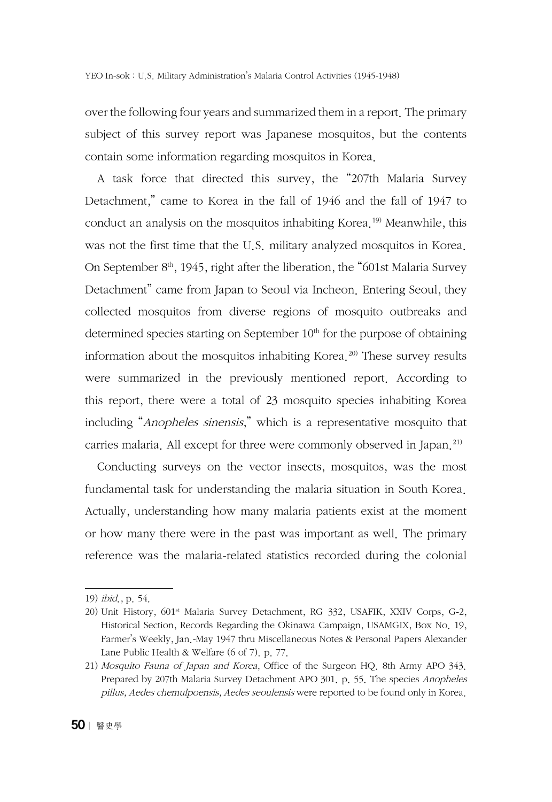over the following four years and summarized them in a report. The primary subject of this survey report was Japanese mosquitos, but the contents contain some information regarding mosquitos in Korea.

A task force that directed this survey, the "207th Malaria Survey Detachment," came to Korea in the fall of 1946 and the fall of 1947 to conduct an analysis on the mosquitos inhabiting Korea.<sup>19)</sup> Meanwhile, this was not the first time that the U.S. military analyzed mosquitos in Korea. On September  $8<sup>th</sup>$ , 1945, right after the liberation, the "601st Malaria Survey" Detachment" came from Japan to Seoul via Incheon. Entering Seoul, they collected mosquitos from diverse regions of mosquito outbreaks and determined species starting on September  $10<sup>th</sup>$  for the purpose of obtaining information about the mosquitos inhabiting Korea.<sup>20)</sup> These survey results were summarized in the previously mentioned report. According to this report, there were a total of 23 mosquito species inhabiting Korea including "Anopheles sinensis," which is a representative mosquito that carries malaria. All except for three were commonly observed in Japan.<sup>21)</sup>

Conducting surveys on the vector insects, mosquitos, was the most fundamental task for understanding the malaria situation in South Korea. Actually, understanding how many malaria patients exist at the moment or how many there were in the past was important as well. The primary reference was the malaria-related statistics recorded during the colonial

<sup>19)</sup> ibid., p. 54.

<sup>20)</sup> Unit History, 601<sup>st</sup> Malaria Survey Detachment, RG 332, USAFIK, XXIV Corps, G-2, Historical Section, Records Regarding the Okinawa Campaign, USAMGIX, Box No. 19, Farmer's Weekly, Jan.-May 1947 thru Miscellaneous Notes & Personal Papers Alexander Lane Public Health & Welfare (6 of 7). p. 77.

<sup>21)</sup> Mosquito Fauna of Japan and Korea, Office of the Surgeon HQ. 8th Army APO 343. Prepared by 207th Malaria Survey Detachment APO 301. p. 55. The species Anopheles pillus, Aedes chemulpoensis, Aedes seoulensis were reported to be found only in Korea.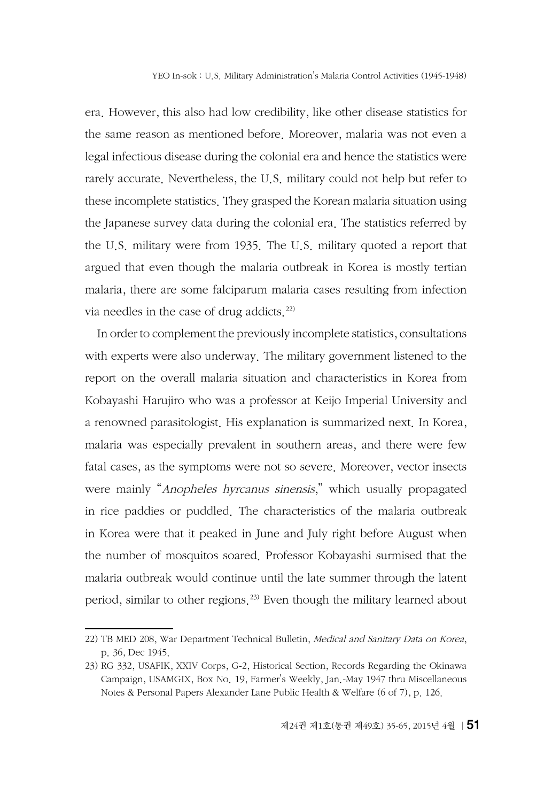era. However, this also had low credibility, like other disease statistics for the same reason as mentioned before. Moreover, malaria was not even a legal infectious disease during the colonial era and hence the statistics were rarely accurate. Nevertheless, the U.S. military could not help but refer to these incomplete statistics. They grasped the Korean malaria situation using the Japanese survey data during the colonial era. The statistics referred by the U.S. military were from 1935. The U.S. military quoted a report that argued that even though the malaria outbreak in Korea is mostly tertian malaria, there are some falciparum malaria cases resulting from infection via needles in the case of drug addicts.<sup>22)</sup>

In order to complement the previously incomplete statistics, consultations with experts were also underway. The military government listened to the report on the overall malaria situation and characteristics in Korea from Kobayashi Harujiro who was a professor at Keijo Imperial University and a renowned parasitologist. His explanation is summarized next. In Korea, malaria was especially prevalent in southern areas, and there were few fatal cases, as the symptoms were not so severe. Moreover, vector insects were mainly "*Anopheles hyrcanus sinensis*," which usually propagated in rice paddies or puddled. The characteristics of the malaria outbreak in Korea were that it peaked in June and July right before August when the number of mosquitos soared. Professor Kobayashi surmised that the malaria outbreak would continue until the late summer through the latent period, similar to other regions.23) Even though the military learned about

<sup>22)</sup> TB MED 208, War Department Technical Bulletin, Medical and Sanitary Data on Korea, p. 36, Dec 1945.

<sup>23)</sup> RG 332, USAFIK, XXIV Corps, G-2, Historical Section, Records Regarding the Okinawa Campaign, USAMGIX, Box No. 19, Farmer's Weekly, Jan.-May 1947 thru Miscellaneous Notes & Personal Papers Alexander Lane Public Health & Welfare (6 of 7), p. 126.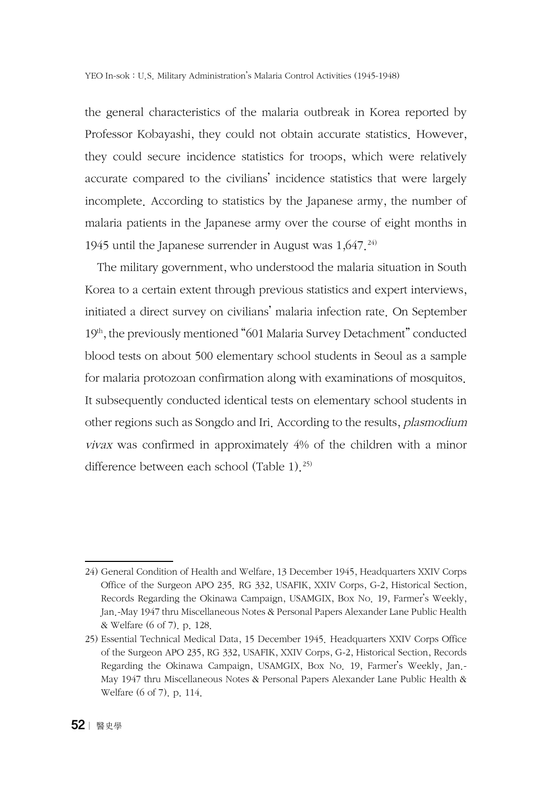YEO In-sok : U.S. Military Administration's Malaria Control Activities (1945-1948)

the general characteristics of the malaria outbreak in Korea reported by Professor Kobayashi, they could not obtain accurate statistics. However, they could secure incidence statistics for troops, which were relatively accurate compared to the civilians' incidence statistics that were largely incomplete. According to statistics by the Japanese army, the number of malaria patients in the Japanese army over the course of eight months in 1945 until the Japanese surrender in August was  $1,647.^{24}$ 

The military government, who understood the malaria situation in South Korea to a certain extent through previous statistics and expert interviews, initiated a direct survey on civilians' malaria infection rate. On September 19th, the previously mentioned "601 Malaria Survey Detachment" conducted blood tests on about 500 elementary school students in Seoul as a sample for malaria protozoan confirmation along with examinations of mosquitos. It subsequently conducted identical tests on elementary school students in other regions such as Songdo and Iri. According to the results, plasmodium vivax was confirmed in approximately 4% of the children with a minor difference between each school (Table 1).<sup>25)</sup>

<sup>24)</sup> General Condition of Health and Welfare, 13 December 1945, Headquarters XXIV Corps Office of the Surgeon APO 235. RG 332, USAFIK, XXIV Corps, G-2, Historical Section, Records Regarding the Okinawa Campaign, USAMGIX, Box No. 19, Farmer's Weekly, Jan.-May 1947 thru Miscellaneous Notes & Personal Papers Alexander Lane Public Health & Welfare (6 of 7). p. 128.

<sup>25)</sup> Essential Technical Medical Data, 15 December 1945. Headquarters XXIV Corps Office of the Surgeon APO 235, RG 332, USAFIK, XXIV Corps, G-2, Historical Section, Records Regarding the Okinawa Campaign, USAMGIX, Box No. 19, Farmer's Weekly, Jan.- May 1947 thru Miscellaneous Notes & Personal Papers Alexander Lane Public Health & Welfare (6 of 7). p. 114.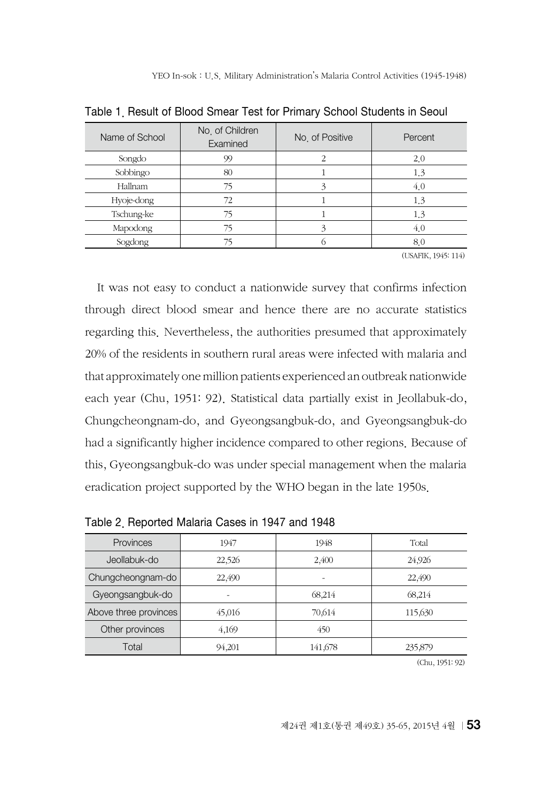| Name of School | No. of Children<br>Examined | No. of Positive | Percent |
|----------------|-----------------------------|-----------------|---------|
| Songdo         | 99                          |                 | 2.0     |
| Sobbingo       | 80                          |                 | 1.3     |
| Hallnam        | 75                          |                 | 4.0     |
| Hyoje-dong     | 72                          |                 | 1.3     |
| Tschung-ke     | 75                          |                 | 1.3     |
| Mapodong       | 75                          |                 | 4.0     |
| Sogdong        | 75                          |                 | 8.0     |

Table 1. Result of Blood Smear Test for Primary School Students in Seoul

(USAFIK, 1945: 114)

It was not easy to conduct a nationwide survey that confirms infection through direct blood smear and hence there are no accurate statistics regarding this. Nevertheless, the authorities presumed that approximately 20% of the residents in southern rural areas were infected with malaria and that approximately one million patients experienced an outbreak nationwide each year (Chu, 1951: 92). Statistical data partially exist in Jeollabuk-do, Chungcheongnam-do, and Gyeongsangbuk-do, and Gyeongsangbuk-do had a significantly higher incidence compared to other regions. Because of this, Gyeongsangbuk-do was under special management when the malaria eradication project supported by the WHO began in the late 1950s.

| Provinces             | 1947   | 1948    | Total   |
|-----------------------|--------|---------|---------|
| Jeollabuk-do          | 22,526 | 2,400   | 24,926  |
| Chungcheongnam-do     | 22,490 | ۰       | 22,490  |
| Gyeongsangbuk-do      | ۰      | 68.214  | 68,214  |
| Above three provinces | 45,016 | 70.614  | 115,630 |
| Other provinces       | 4,169  | 450     |         |
| Total                 | 94,201 | 141,678 | 235,879 |
|                       |        |         |         |

Table 2. Reported Malaria Cases in 1947 and 1948

(Chu, 1951: 92)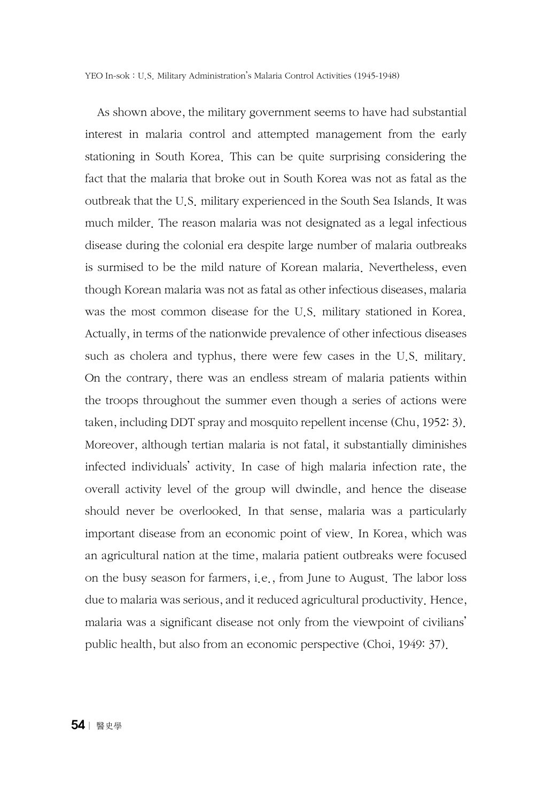YEO In-sok : U.S. Military Administration's Malaria Control Activities (1945-1948)

As shown above, the military government seems to have had substantial interest in malaria control and attempted management from the early stationing in South Korea. This can be quite surprising considering the fact that the malaria that broke out in South Korea was not as fatal as the outbreak that the U.S. military experienced in the South Sea Islands. It was much milder. The reason malaria was not designated as a legal infectious disease during the colonial era despite large number of malaria outbreaks is surmised to be the mild nature of Korean malaria. Nevertheless, even though Korean malaria was not as fatal as other infectious diseases, malaria was the most common disease for the U.S. military stationed in Korea. Actually, in terms of the nationwide prevalence of other infectious diseases such as cholera and typhus, there were few cases in the U.S. military. On the contrary, there was an endless stream of malaria patients within the troops throughout the summer even though a series of actions were taken, including DDT spray and mosquito repellent incense (Chu, 1952: 3). Moreover, although tertian malaria is not fatal, it substantially diminishes infected individuals' activity. In case of high malaria infection rate, the overall activity level of the group will dwindle, and hence the disease should never be overlooked. In that sense, malaria was a particularly important disease from an economic point of view. In Korea, which was an agricultural nation at the time, malaria patient outbreaks were focused on the busy season for farmers, i.e., from June to August. The labor loss due to malaria was serious, and it reduced agricultural productivity. Hence, malaria was a significant disease not only from the viewpoint of civilians' public health, but also from an economic perspective (Choi, 1949: 37).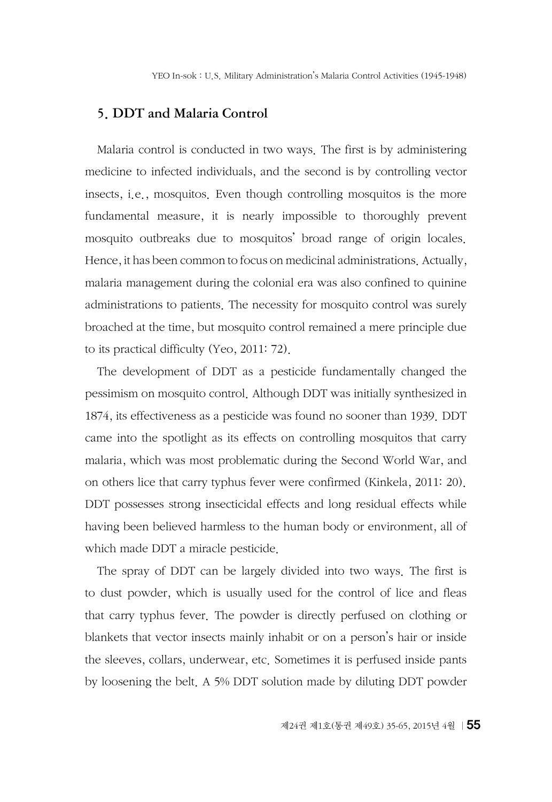#### 5. DDT and Malaria Control

Malaria control is conducted in two ways. The first is by administering medicine to infected individuals, and the second is by controlling vector insects, i.e., mosquitos. Even though controlling mosquitos is the more fundamental measure, it is nearly impossible to thoroughly prevent mosquito outbreaks due to mosquitos' broad range of origin locales. Hence, it has been common to focus on medicinal administrations. Actually, malaria management during the colonial era was also confined to quinine administrations to patients. The necessity for mosquito control was surely broached at the time, but mosquito control remained a mere principle due to its practical difficulty (Yeo, 2011: 72).

The development of DDT as a pesticide fundamentally changed the pessimism on mosquito control. Although DDT was initially synthesized in 1874, its effectiveness as a pesticide was found no sooner than 1939. DDT came into the spotlight as its effects on controlling mosquitos that carry malaria, which was most problematic during the Second World War, and on others lice that carry typhus fever were confirmed (Kinkela, 2011: 20). DDT possesses strong insecticidal effects and long residual effects while having been believed harmless to the human body or environment, all of which made DDT a miracle pesticide.

The spray of DDT can be largely divided into two ways. The first is to dust powder, which is usually used for the control of lice and fleas that carry typhus fever. The powder is directly perfused on clothing or blankets that vector insects mainly inhabit or on a person's hair or inside the sleeves, collars, underwear, etc. Sometimes it is perfused inside pants by loosening the belt. A 5% DDT solution made by diluting DDT powder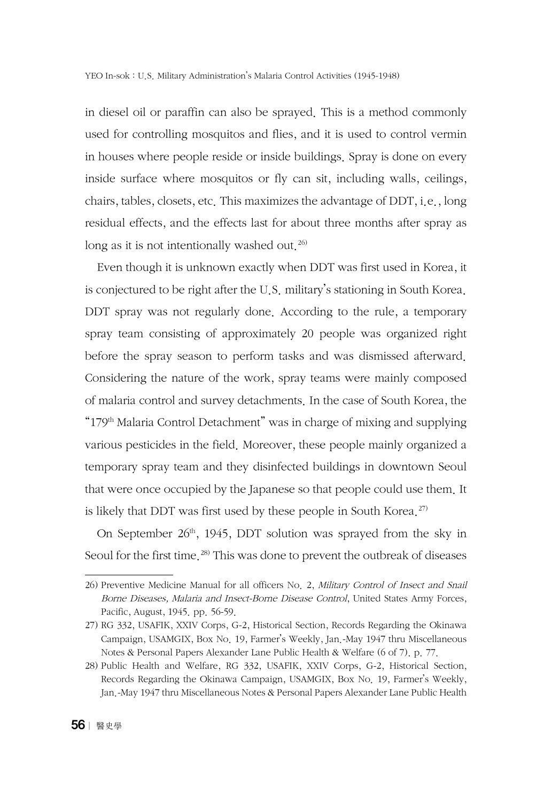in diesel oil or paraffin can also be sprayed. This is a method commonly used for controlling mosquitos and flies, and it is used to control vermin in houses where people reside or inside buildings. Spray is done on every inside surface where mosquitos or fly can sit, including walls, ceilings, chairs, tables, closets, etc. This maximizes the advantage of DDT, i.e., long residual effects, and the effects last for about three months after spray as long as it is not intentionally washed out.<sup>26)</sup>

Even though it is unknown exactly when DDT was first used in Korea, it is conjectured to be right after the U.S. military's stationing in South Korea. DDT spray was not regularly done. According to the rule, a temporary spray team consisting of approximately 20 people was organized right before the spray season to perform tasks and was dismissed afterward. Considering the nature of the work, spray teams were mainly composed of malaria control and survey detachments. In the case of South Korea, the " $179<sup>th</sup>$  Malaria Control Detachment" was in charge of mixing and supplying various pesticides in the field. Moreover, these people mainly organized a temporary spray team and they disinfected buildings in downtown Seoul that were once occupied by the Japanese so that people could use them. It is likely that DDT was first used by these people in South Korea.<sup>27)</sup>

On September  $26<sup>th</sup>$ , 1945, DDT solution was sprayed from the sky in Seoul for the first time.<sup>28)</sup> This was done to prevent the outbreak of diseases

<sup>26)</sup> Preventive Medicine Manual for all officers No. 2, Military Control of Insect and Snail Borne Diseases, Malaria and Insect-Borne Disease Control, United States Army Forces, Pacific, August, 1945. pp. 56-59.

<sup>27)</sup> RG 332, USAFIK, XXIV Corps, G-2, Historical Section, Records Regarding the Okinawa Campaign, USAMGIX, Box No. 19, Farmer's Weekly, Jan.-May 1947 thru Miscellaneous Notes & Personal Papers Alexander Lane Public Health & Welfare (6 of 7). p. 77.

<sup>28)</sup> Public Health and Welfare, RG 332, USAFIK, XXIV Corps, G-2, Historical Section, Records Regarding the Okinawa Campaign, USAMGIX, Box No. 19, Farmer's Weekly, Jan.-May 1947 thru Miscellaneous Notes & Personal Papers Alexander Lane Public Health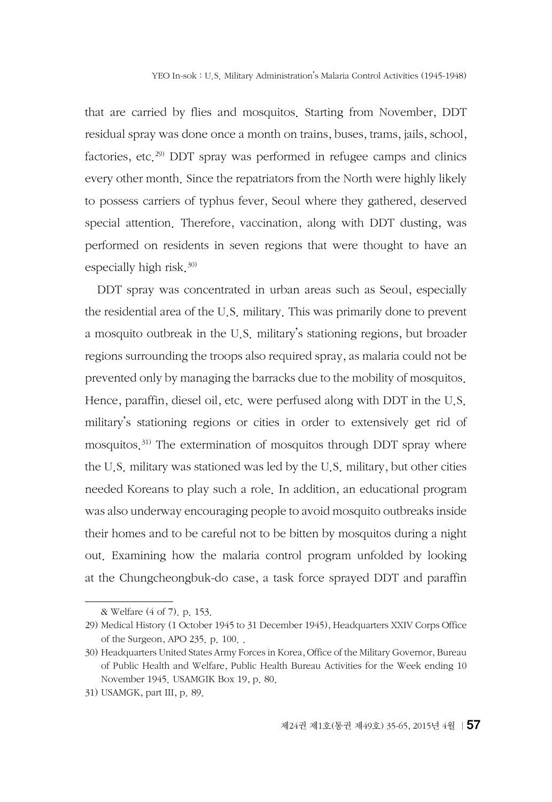that are carried by flies and mosquitos. Starting from November, DDT residual spray was done once a month on trains, buses, trams, jails, school, factories, etc.<sup>29)</sup> DDT spray was performed in refugee camps and clinics every other month. Since the repatriators from the North were highly likely to possess carriers of typhus fever, Seoul where they gathered, deserved special attention. Therefore, vaccination, along with DDT dusting, was performed on residents in seven regions that were thought to have an especially high risk. $30$ )

DDT spray was concentrated in urban areas such as Seoul, especially the residential area of the U.S. military. This was primarily done to prevent a mosquito outbreak in the U.S. military's stationing regions, but broader regions surrounding the troops also required spray, as malaria could not be prevented only by managing the barracks due to the mobility of mosquitos. Hence, paraffin, diesel oil, etc. were perfused along with DDT in the U.S. military's stationing regions or cities in order to extensively get rid of mosquitos.31) The extermination of mosquitos through DDT spray where the U.S. military was stationed was led by the U.S. military, but other cities needed Koreans to play such a role. In addition, an educational program was also underway encouraging people to avoid mosquito outbreaks inside their homes and to be careful not to be bitten by mosquitos during a night out. Examining how the malaria control program unfolded by looking at the Chungcheongbuk-do case, a task force sprayed DDT and paraffin

<sup>&</sup>amp; Welfare (4 of 7). p. 153.

<sup>29)</sup> Medical History (1 October 1945 to 31 December 1945), Headquarters XXIV Corps Office of the Surgeon, APO 235. p. 100. .

<sup>30)</sup> Headquarters United States Army Forces in Korea, Office of the Military Governor, Bureau of Public Health and Welfare, Public Health Bureau Activities for the Week ending 10 November 1945. USAMGIK Box 19, p. 80.

<sup>31)</sup> USAMGK, part III, p. 89.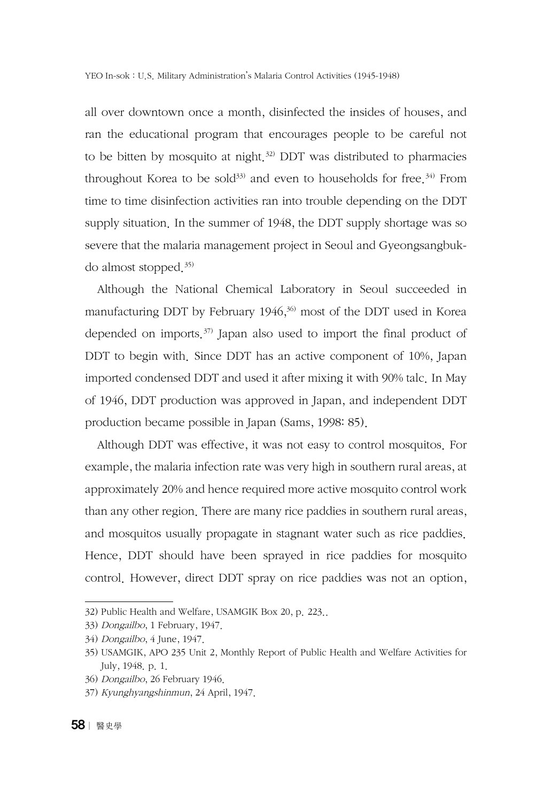all over downtown once a month, disinfected the insides of houses, and ran the educational program that encourages people to be careful not to be bitten by mosquito at night.<sup>32)</sup> DDT was distributed to pharmacies throughout Korea to be sold<sup>33)</sup> and even to households for free.<sup>34)</sup> From time to time disinfection activities ran into trouble depending on the DDT supply situation. In the summer of 1948, the DDT supply shortage was so severe that the malaria management project in Seoul and Gyeongsangbukdo almost stopped.35)

Although the National Chemical Laboratory in Seoul succeeded in manufacturing DDT by February  $1946<sup>36</sup>$  most of the DDT used in Korea depended on imports.<sup> $37)$ </sup> Japan also used to import the final product of DDT to begin with. Since DDT has an active component of 10%, Japan imported condensed DDT and used it after mixing it with 90% talc. In May of 1946, DDT production was approved in Japan, and independent DDT production became possible in Japan (Sams, 1998: 85).

Although DDT was effective, it was not easy to control mosquitos. For example, the malaria infection rate was very high in southern rural areas, at approximately 20% and hence required more active mosquito control work than any other region. There are many rice paddies in southern rural areas, and mosquitos usually propagate in stagnant water such as rice paddies. Hence, DDT should have been sprayed in rice paddies for mosquito control. However, direct DDT spray on rice paddies was not an option,

<sup>32)</sup> Public Health and Welfare, USAMGIK Box 20, p. 223..

<sup>33)</sup> Dongailbo, 1 February, 1947.

<sup>34)</sup> Dongailbo, 4 June, 1947.

<sup>35)</sup> USAMGIK, APO 235 Unit 2, Monthly Report of Public Health and Welfare Activities for July, 1948. p. 1.

<sup>36)</sup> Dongailbo, 26 February 1946.

<sup>37)</sup> Kyunghyangshinmun, 24 April, 1947.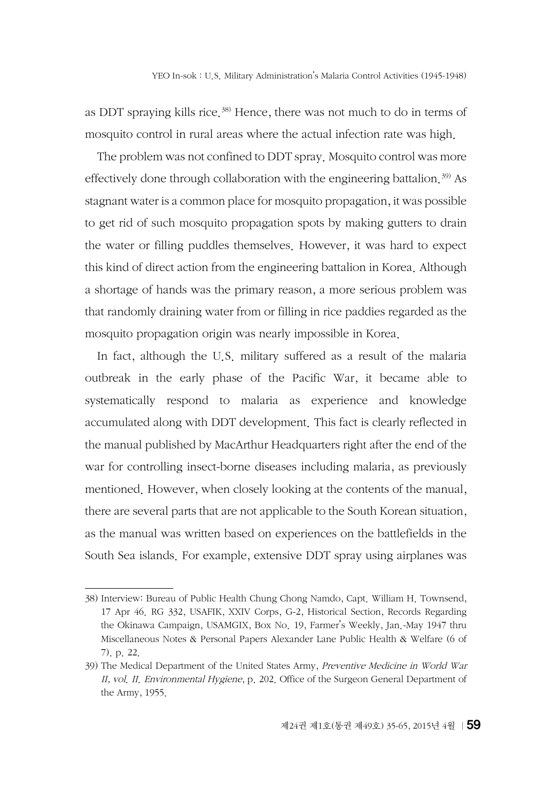as DDT spraying kills rice.<sup>38)</sup> Hence, there was not much to do in terms of mosquito control in rural areas where the actual infection rate was high.

The problem was not confined to DDT spray. Mosquito control was more effectively done through collaboration with the engineering battalion.<sup>39)</sup> As stagnant water is a common place for mosquito propagation, it was possible to get rid of such mosquito propagation spots by making gutters to drain the water or filling puddles themselves. However, it was hard to expect this kind of direct action from the engineering battalion in Korea. Although a shortage of hands was the primary reason, a more serious problem was that randomly draining water from or filling in rice paddies regarded as the mosquito propagation origin was nearly impossible in Korea.

In fact, although the U.S. military suffered as a result of the malaria outbreak in the early phase of the Pacific War, it became able to systematically respond to malaria as experience and knowledge accumulated along with DDT development. This fact is clearly reflected in the manual published by MacArthur Headquarters right after the end of the war for controlling insect-borne diseases including malaria, as previously mentioned. However, when closely looking at the contents of the manual, there are several parts that are not applicable to the South Korean situation, as the manual was written based on experiences on the battlefields in the South Sea islands. For example, extensive DDT spray using airplanes was

<sup>38)</sup> Interview: Bureau of Public Health Chung Chong Namdo, Capt. William H. Townsend, 17 Apr 46. RG 332, USAFIK, XXIV Corps, G-2, Historical Section, Records Regarding the Okinawa Campaign, USAMGIX, Box No. 19, Farmer's Weekly, Jan.-May 1947 thru Miscellaneous Notes & Personal Papers Alexander Lane Public Health & Welfare (6 of 7). p. 22.

<sup>39)</sup> The Medical Department of the United States Army, Preventive Medicine in World War II, vol. II. Environmental Hygiene, p. 202. Office of the Surgeon General Department of the Army, 1955.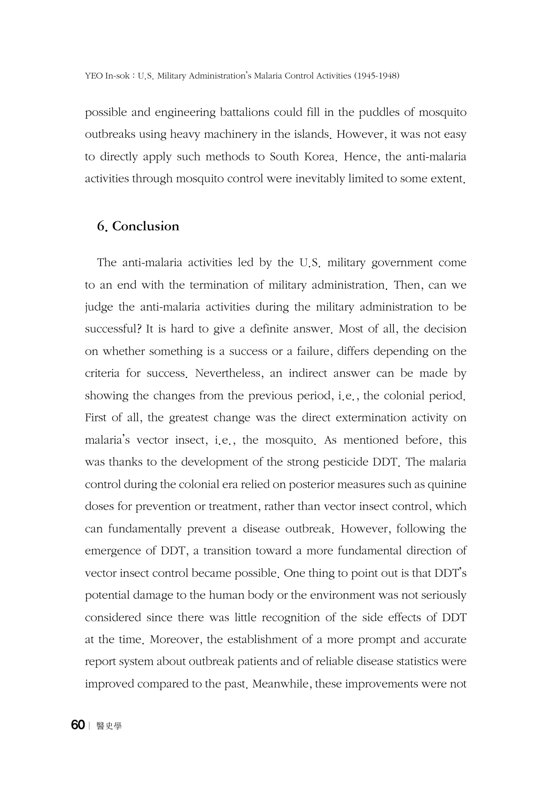possible and engineering battalions could fill in the puddles of mosquito outbreaks using heavy machinery in the islands. However, it was not easy to directly apply such methods to South Korea. Hence, the anti-malaria activities through mosquito control were inevitably limited to some extent.

### 6. Conclusion

The anti-malaria activities led by the U.S. military government come to an end with the termination of military administration. Then, can we judge the anti-malaria activities during the military administration to be successful? It is hard to give a definite answer. Most of all, the decision on whether something is a success or a failure, differs depending on the criteria for success. Nevertheless, an indirect answer can be made by showing the changes from the previous period, i.e., the colonial period. First of all, the greatest change was the direct extermination activity on malaria's vector insect, i.e., the mosquito. As mentioned before, this was thanks to the development of the strong pesticide DDT. The malaria control during the colonial era relied on posterior measures such as quinine doses for prevention or treatment, rather than vector insect control, which can fundamentally prevent a disease outbreak. However, following the emergence of DDT, a transition toward a more fundamental direction of vector insect control became possible. One thing to point out is that DDT's potential damage to the human body or the environment was not seriously considered since there was little recognition of the side effects of DDT at the time. Moreover, the establishment of a more prompt and accurate report system about outbreak patients and of reliable disease statistics were improved compared to the past. Meanwhile, these improvements were not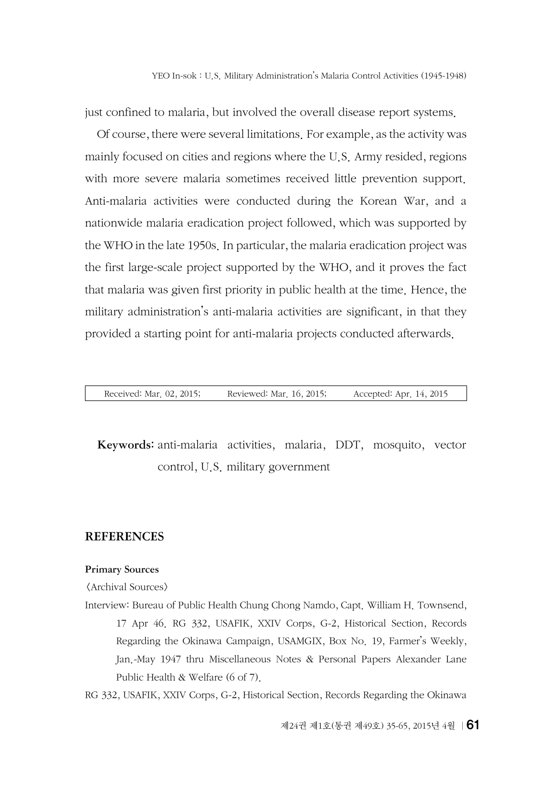just confined to malaria, but involved the overall disease report systems.

Of course, there were several limitations. For example, as the activity was mainly focused on cities and regions where the U.S. Army resided, regions with more severe malaria sometimes received little prevention support. Anti-malaria activities were conducted during the Korean War, and a nationwide malaria eradication project followed, which was supported by the WHO in the late 1950s. In particular, the malaria eradication project was the first large-scale project supported by the WHO, and it proves the fact that malaria was given first priority in public health at the time. Hence, the military administration's anti-malaria activities are significant, in that they provided a starting point for anti-malaria projects conducted afterwards.

Received: Mar. 02, 2015; Reviewed: Mar. 16, 2015; Accepted: Apr. 14, 2015

Keywords: anti-malaria activities, malaria, DDT, mosquito, vector control, U.S. military government

#### **REFERENCES**

#### Primary Sources

<Archival Sources>

Interview: Bureau of Public Health Chung Chong Namdo, Capt. William H. Townsend, 17 Apr 46. RG 332, USAFIK, XXIV Corps, G-2, Historical Section, Records Regarding the Okinawa Campaign, USAMGIX, Box No. 19, Farmer's Weekly, Jan.-May 1947 thru Miscellaneous Notes & Personal Papers Alexander Lane Public Health & Welfare (6 of 7).

RG 332, USAFIK, XXIV Corps, G-2, Historical Section, Records Regarding the Okinawa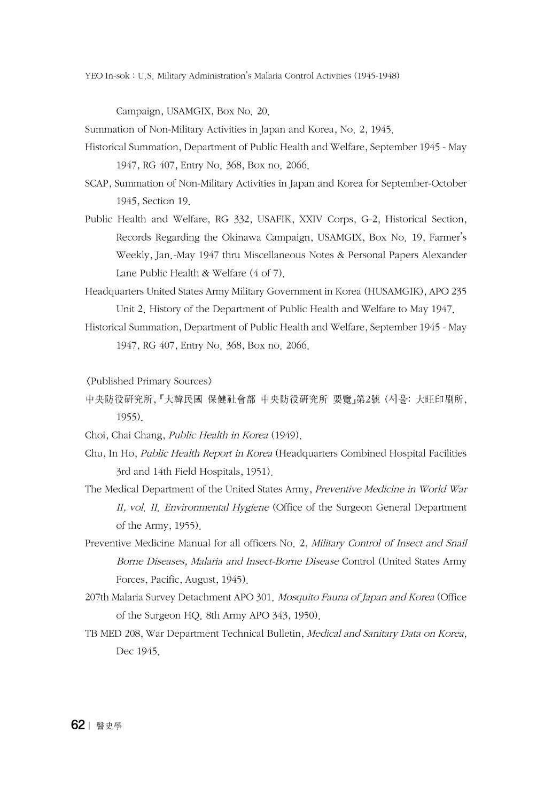YEO In-sok : U.S. Military Administration's Malaria Control Activities (1945-1948)

Campaign, USAMGIX, Box No. 20.

Summation of Non-Military Activities in Japan and Korea, No. 2, 1945.

- Historical Summation, Department of Public Health and Welfare, September 1945 May 1947, RG 407, Entry No. 368, Box no. 2066.
- SCAP, Summation of Non-Military Activities in Japan and Korea for September-October 1945, Section 19.
- Public Health and Welfare, RG 332, USAFIK, XXIV Corps, G-2, Historical Section, Records Regarding the Okinawa Campaign, USAMGIX, Box No. 19, Farmer's Weekly, Jan.-May 1947 thru Miscellaneous Notes & Personal Papers Alexander Lane Public Health & Welfare (4 of 7).

Headquarters United States Army Military Government in Korea (HUSAMGIK), APO 235 Unit 2. History of the Department of Public Health and Welfare to May 1947.

Historical Summation, Department of Public Health and Welfare, September 1945 - May 1947, RG 407, Entry No. 368, Box no. 2066.

<Published Primary Sources>

- 中央防役硏究所, 『大韓民國 保健社會部 中央防役硏究所 要覽』第2號 (서울: 大旺印刷所, 1955).
- Choi, Chai Chang, Public Health in Korea (1949).
- Chu, In Ho, Public Health Report in Korea (Headquarters Combined Hospital Facilities 3rd and 14th Field Hospitals, 1951).
- The Medical Department of the United States Army, Preventive Medicine in World War II, vol. II. Environmental Hygiene (Office of the Surgeon General Department of the Army, 1955).
- Preventive Medicine Manual for all officers No. 2, Military Control of Insect and Snail Borne Diseases, Malaria and Insect-Borne Disease Control (United States Army Forces, Pacific, August, 1945).
- 207th Malaria Survey Detachment APO 301. Mosquito Fauna of Japan and Korea (Office of the Surgeon HQ. 8th Army APO 343, 1950).
- TB MED 208, War Department Technical Bulletin, Medical and Sanitary Data on Korea, Dec 1945.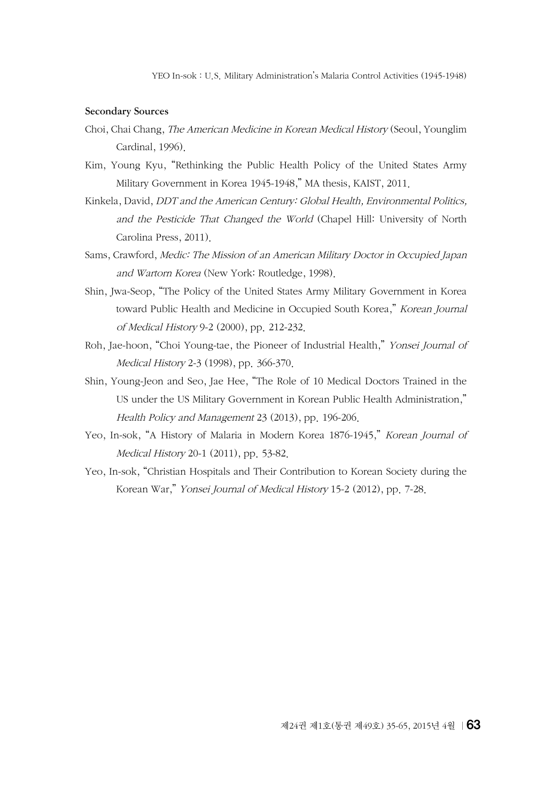#### Secondary Sources

- Choi, Chai Chang, The American Medicine in Korean Medical History (Seoul, Younglim Cardinal, 1996).
- Kim, Young Kyu, "Rethinking the Public Health Policy of the United States Army Military Government in Korea 1945-1948," MA thesis, KAIST, 2011.
- Kinkela, David, DDT and the American Century: Global Health, Environmental Politics, and the Pesticide That Changed the World (Chapel Hill: University of North Carolina Press, 2011).
- Sams, Crawford, Medic: The Mission of an American Military Doctor in Occupied Japan and Wartorn Korea (New York: Routledge, 1998).
- Shin, Jwa-Seop, "The Policy of the United States Army Military Government in Korea toward Public Health and Medicine in Occupied South Korea," Korean Journal of Medical History 9-2 (2000), pp. 212-232.
- Roh, Jae-hoon, "Choi Young-tae, the Pioneer of Industrial Health," Yonsei Journal of Medical History 2-3 (1998), pp. 366-370.
- Shin, Young-Jeon and Seo, Jae Hee, "The Role of 10 Medical Doctors Trained in the US under the US Military Government in Korean Public Health Administration," Health Policy and Management 23 (2013), pp. 196-206.
- Yeo, In-sok, "A History of Malaria in Modern Korea 1876-1945," Korean Journal of Medical History 20-1 (2011), pp. 53-82.
- Yeo, In-sok, "Christian Hospitals and Their Contribution to Korean Society during the Korean War," Yonsei Journal of Medical History 15-2 (2012), pp. 7-28.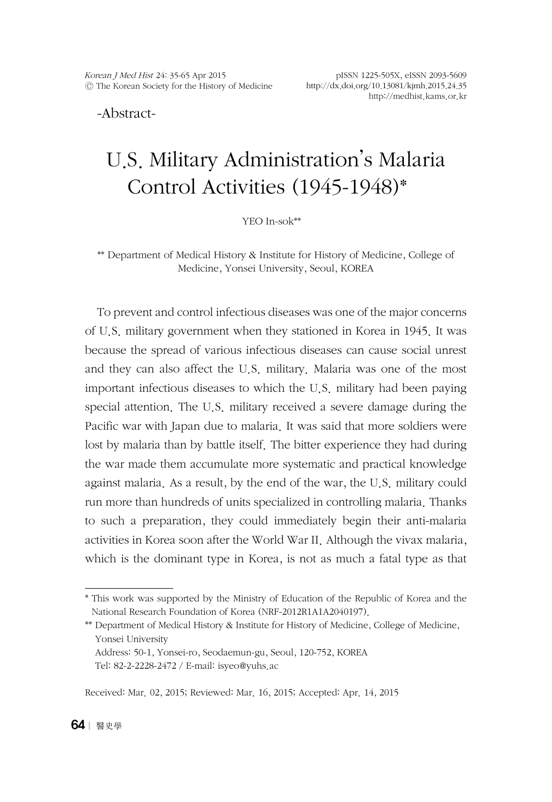-Abstract-

# U.S. Military Administration's Malaria Control Activities (1945-1948)\*

YEO In-sok\*\*

\*\* Department of Medical History & Institute for History of Medicine, College of Medicine, Yonsei University, Seoul, KOREA

To prevent and control infectious diseases was one of the major concerns of U.S. military government when they stationed in Korea in 1945. It was because the spread of various infectious diseases can cause social unrest and they can also affect the U.S. military. Malaria was one of the most important infectious diseases to which the U.S. military had been paying special attention. The U.S. military received a severe damage during the Pacific war with Japan due to malaria. It was said that more soldiers were lost by malaria than by battle itself. The bitter experience they had during the war made them accumulate more systematic and practical knowledge against malaria. As a result, by the end of the war, the U.S. military could run more than hundreds of units specialized in controlling malaria. Thanks to such a preparation, they could immediately begin their anti-malaria activities in Korea soon after the World War II. Although the vivax malaria, which is the dominant type in Korea, is not as much a fatal type as that

<sup>\*</sup> This work was supported by the Ministry of Education of the Republic of Korea and the National Research Foundation of Korea (NRF-2012R1A1A2040197).

<sup>\*\*</sup> Department of Medical History & Institute for History of Medicine, College of Medicine, Yonsei University

Address: 50-1, Yonsei-ro, Seodaemun-gu, Seoul, 120-752, KOREA Tel: 82-2-2228-2472 / E-mail: isye[o@yuhs.ac](mailto:jerryq@yuhs.ac)

Received: Mar. 02, 2015; Reviewed: Mar. 16, 2015; Accepted: Apr. 14, 2015